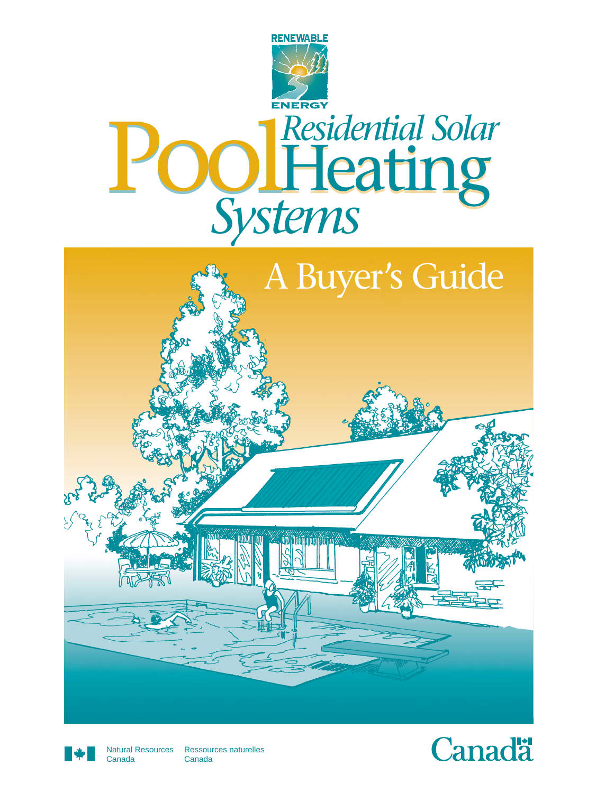







Natural Resources Ressources naturelles Canada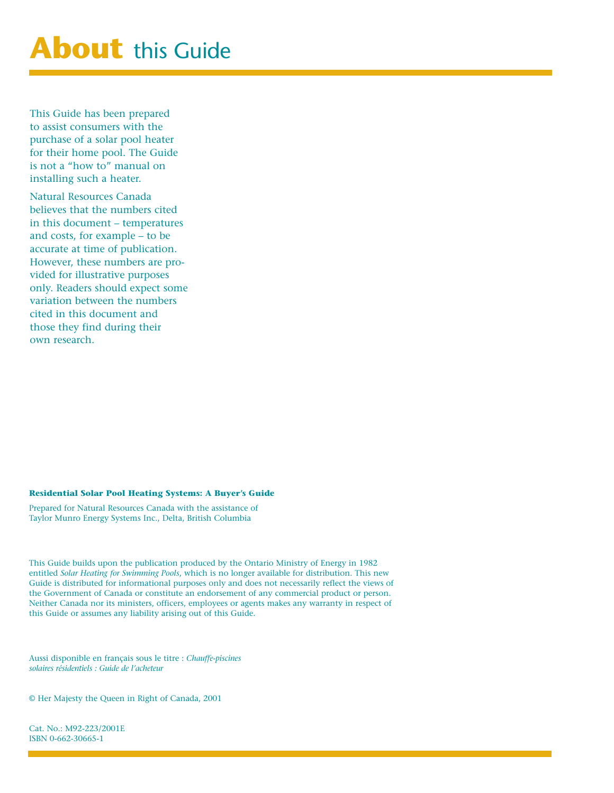# **About** this Guide

This Guide has been prepared to assist consumers with the purchase of a solar pool heater for their home pool. The Guide is not a "how to" manual on installing such a heater.

Natural Resources Canada believes that the numbers cited in this document – temperatures and costs, for example – to be accurate at time of publication. However, these numbers are provided for illustrative purposes only. Readers should expect some variation between the numbers cited in this document and those they find during their own research.

#### **Residential Solar Pool Heating Systems: A Buyer's Guide**

Prepared for Natural Resources Canada with the assistance of Taylor Munro Energy Systems Inc., Delta, British Columbia

This Guide builds upon the publication produced by the Ontario Ministry of Energy in 1982 entitled *Solar Heating for Swimming Pools*, which is no longer available for distribution. This new Guide is distributed for informational purposes only and does not necessarily reflect the views of the Government of Canada or constitute an endorsement of any commercial product or person. Neither Canada nor its ministers, officers, employees or agents makes any warranty in respect of this Guide or assumes any liability arising out of this Guide.

Aussi disponible en français sous le titre : *Chauffe-piscines solaires résidentiels : Guide de l'acheteur*

© Her Majesty the Queen in Right of Canada, 2001

Cat. No.: M92-223/2001E ISBN 0-662-30665-1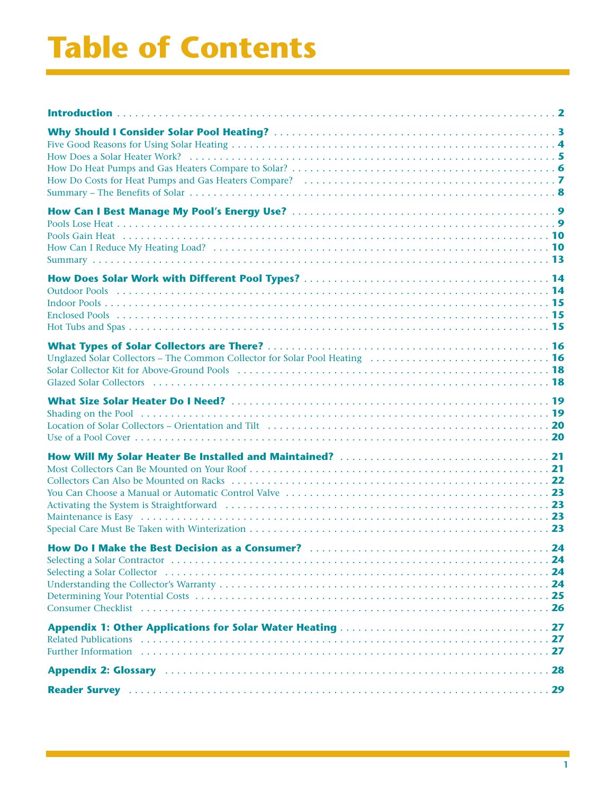# **Table of Contents**

| Shading on the Pool (a) and the set of the set of the set of the set of the set of the set of the set of the set of the set of the set of the set of the set of the set of the set of the set of the set of the set of the set |  |
|--------------------------------------------------------------------------------------------------------------------------------------------------------------------------------------------------------------------------------|--|
|                                                                                                                                                                                                                                |  |
|                                                                                                                                                                                                                                |  |
|                                                                                                                                                                                                                                |  |
|                                                                                                                                                                                                                                |  |
|                                                                                                                                                                                                                                |  |
|                                                                                                                                                                                                                                |  |
|                                                                                                                                                                                                                                |  |
|                                                                                                                                                                                                                                |  |
|                                                                                                                                                                                                                                |  |
|                                                                                                                                                                                                                                |  |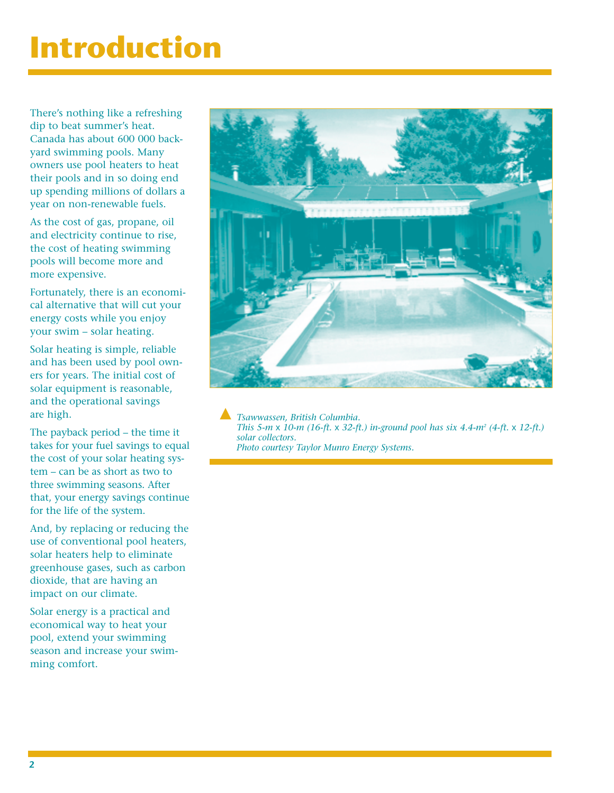# <span id="page-3-0"></span>**Introduction**

There's nothing like a refreshing dip to beat summer's heat. Canada has about 600 000 backyard swimming pools. Many owners use pool heaters to heat their pools and in so doing end up spending millions of dollars a year on non-renewable fuels.

As the cost of gas, propane, oil and electricity continue to rise, the cost of heating swimming pools will become more and more expensive.

Fortunately, there is an economical alternative that will cut your energy costs while you enjoy your swim – solar heating.

Solar heating is simple, reliable and has been used by pool owners for years. The initial cost of solar equipment is reasonable, and the operational savings are high.

The payback period – the time it takes for your fuel savings to equal the cost of your solar heating system – can be as short as two to three swimming seasons. After that, your energy savings continue for the life of the system.

And, by replacing or reducing the use of conventional pool heaters, solar heaters help to eliminate greenhouse gases, such as carbon dioxide, that are having an impact on our climate.

Solar energy is a practical and economical way to heat your pool, extend your swimming season and increase your swimming comfort.



*Tsawwassen, British Columbia.* ▼*This 5-m* x *10-m (16-ft.* x *32-ft.) in-ground pool has six 4.4-m2 (4-ft.* x *12-ft.) solar collectors. Photo courtesy Taylor Munro Energy Systems.*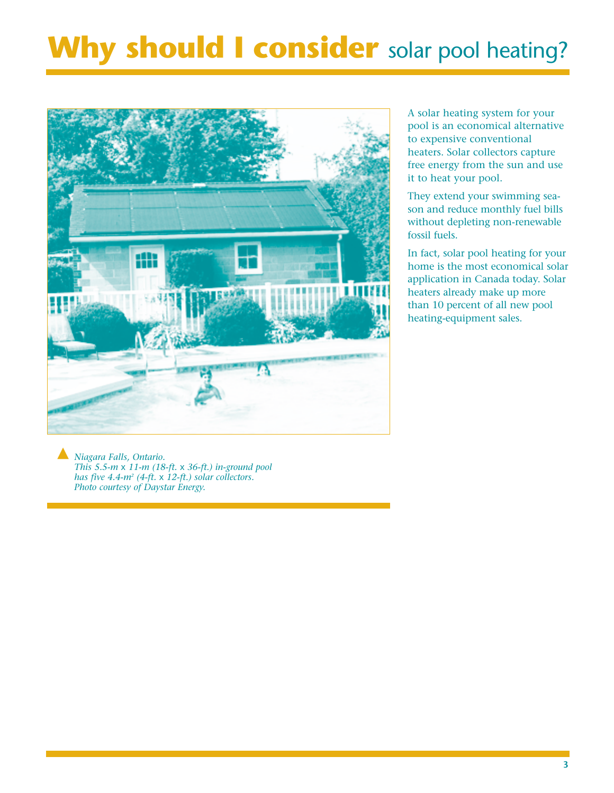# <span id="page-4-0"></span>**Why should I consider** solar pool heating?



▲ Niagara Falls, Ontario. *This 5.5-m* x *11-m (18-ft.* x *36-ft.) in-ground pool has five 4.4-m2 (4-ft.* x *12-ft.) solar collectors. Photo courtesy of Daystar Energy.*

A solar heating system for your pool is an economical alternative to expensive conventional heaters. Solar collectors capture free energy from the sun and use it to heat your pool.

They extend your swimming season and reduce monthly fuel bills without depleting non-renewable fossil fuels.

In fact, solar pool heating for your home is the most economical solar application in Canada today. Solar heaters already make up more than 10 percent of all new pool heating-equipment sales.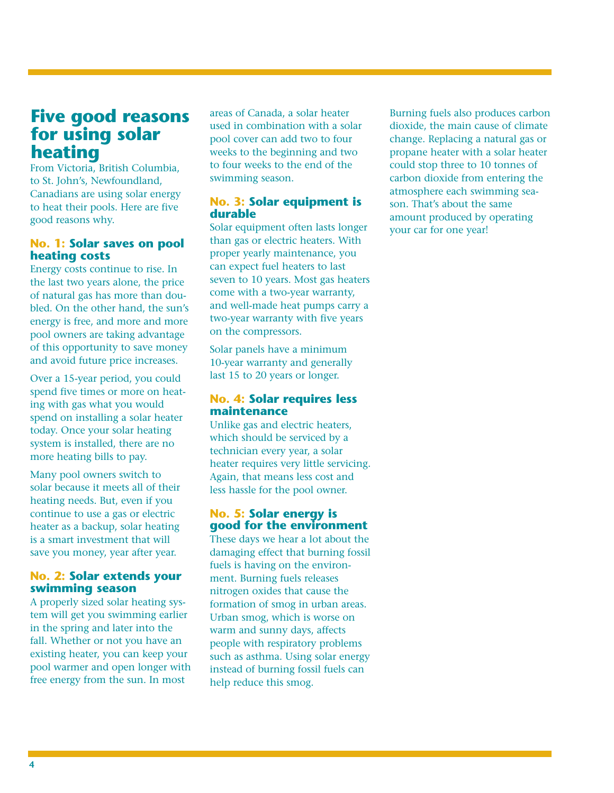## <span id="page-5-0"></span>**Five good reasons for using solar heating**

From Victoria, British Columbia, to St. John's, Newfoundland, Canadians are using solar energy to heat their pools. Here are five good reasons why.

#### **No. 1: Solar saves on pool heating costs**

Energy costs continue to rise. In the last two years alone, the price of natural gas has more than doubled. On the other hand, the sun's energy is free, and more and more pool owners are taking advantage of this opportunity to save money and avoid future price increases.

Over a 15-year period, you could spend five times or more on heating with gas what you would spend on installing a solar heater today. Once your solar heating system is installed, there are no more heating bills to pay.

Many pool owners switch to solar because it meets all of their heating needs. But, even if you continue to use a gas or electric heater as a backup, solar heating is a smart investment that will save you money, year after year.

#### **No. 2: Solar extends your swimming season**

A properly sized solar heating system will get you swimming earlier in the spring and later into the fall. Whether or not you have an existing heater, you can keep your pool warmer and open longer with free energy from the sun. In most

areas of Canada, a solar heater used in combination with a solar pool cover can add two to four weeks to the beginning and two to four weeks to the end of the swimming season.

#### **No. 3: Solar equipment is durable**

Solar equipment often lasts longer than gas or electric heaters. With proper yearly maintenance, you can expect fuel heaters to last seven to 10 years. Most gas heaters come with a two-year warranty, and well-made heat pumps carry a two-year warranty with five years on the compressors.

Solar panels have a minimum 10-year warranty and generally last 15 to 20 years or longer.

#### **No. 4: Solar requires less maintenance**

Unlike gas and electric heaters, which should be serviced by a technician every year, a solar heater requires very little servicing. Again, that means less cost and less hassle for the pool owner.

## **No. 5: Solar energy is good for the environment**

These days we hear a lot about the damaging effect that burning fossil fuels is having on the environment. Burning fuels releases nitrogen oxides that cause the formation of smog in urban areas. Urban smog, which is worse on warm and sunny days, affects people with respiratory problems such as asthma. Using solar energy instead of burning fossil fuels can help reduce this smog.

Burning fuels also produces carbon dioxide, the main cause of climate change. Replacing a natural gas or propane heater with a solar heater could stop three to 10 tonnes of carbon dioxide from entering the atmosphere each swimming season. That's about the same amount produced by operating your car for one year!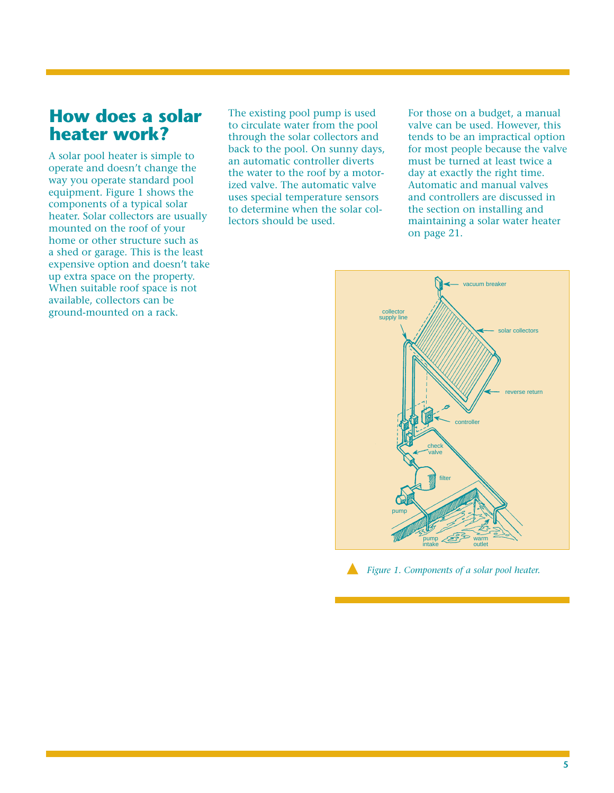## <span id="page-6-0"></span>**How does a solar heater work?**

A solar pool heater is simple to operate and doesn't change the way you operate standard pool equipment. Figure 1 shows the components of a typical solar heater. Solar collectors are usually mounted on the roof of your home or other structure such as a shed or garage. This is the least expensive option and doesn't take up extra space on the property. When suitable roof space is not available, collectors can be ground-mounted on a rack.

The existing pool pump is used to circulate water from the pool through the solar collectors and back to the pool. On sunny days, an automatic controller diverts the water to the roof by a motorized valve. The automatic valve uses special temperature sensors to determine when the solar collectors should be used.

For those on a budget, a manual valve can be used. However, this tends to be an impractical option for most people because the valve must be turned at least twice a day at exactly the right time. Automatic and manual valves and controllers are discussed in the section on installing and maintaining a solar water heater on page 21.



*Figure 1. Components of a solar pool heater.*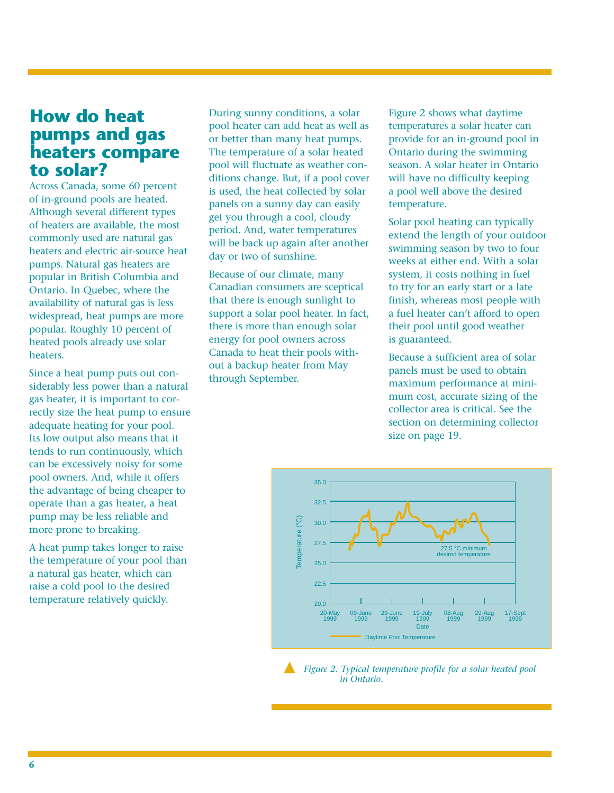## <span id="page-7-0"></span>**How do heat pumps and gas heaters compare to solar?**

Across Canada, some 60 percent of in-ground pools are heated. Although several different types of heaters are available, the most commonly used are natural gas heaters and electric air-source heat pumps. Natural gas heaters are popular in British Columbia and Ontario. In Quebec, where the availability of natural gas is less widespread, heat pumps are more popular. Roughly 10 percent of heated pools already use solar heaters.

Since a heat pump puts out considerably less power than a natural gas heater, it is important to correctly size the heat pump to ensure adequate heating for your pool. Its low output also means that it tends to run continuously, which can be excessively noisy for some pool owners. And, while it offers the advantage of being cheaper to operate than a gas heater, a heat pump may be less reliable and more prone to breaking.

A heat pump takes longer to raise the temperature of your pool than a natural gas heater, which can raise a cold pool to the desired temperature relatively quickly.

During sunny conditions, a solar pool heater can add heat as well as or better than many heat pumps. The temperature of a solar heated pool will fluctuate as weather conditions change. But, if a pool cover is used, the heat collected by solar panels on a sunny day can easily get you through a cool, cloudy period. And, water temperatures will be back up again after another day or two of sunshine.

Because of our climate, many Canadian consumers are sceptical that there is enough sunlight to support a solar pool heater. In fact, there is more than enough solar energy for pool owners across Canada to heat their pools without a backup heater from May through September.

▼

Figure 2 shows what daytime temperatures a solar heater can provide for an in-ground pool in Ontario during the swimming season. A solar heater in Ontario will have no difficulty keeping a pool well above the desired temperature.

Solar pool heating can typically extend the length of your outdoor swimming season by two to four weeks at either end. With a solar system, it costs nothing in fuel to try for an early start or a late finish, whereas most people with a fuel heater can't afford to open their pool until good weather is guaranteed.

Because a sufficient area of solar panels must be used to obtain maximum performance at minimum cost, accurate sizing of the collector area is critical. See the section on determining collector size on page 19.



*Figure 2. Typical temperature profile for a solar heated pool in Ontario.*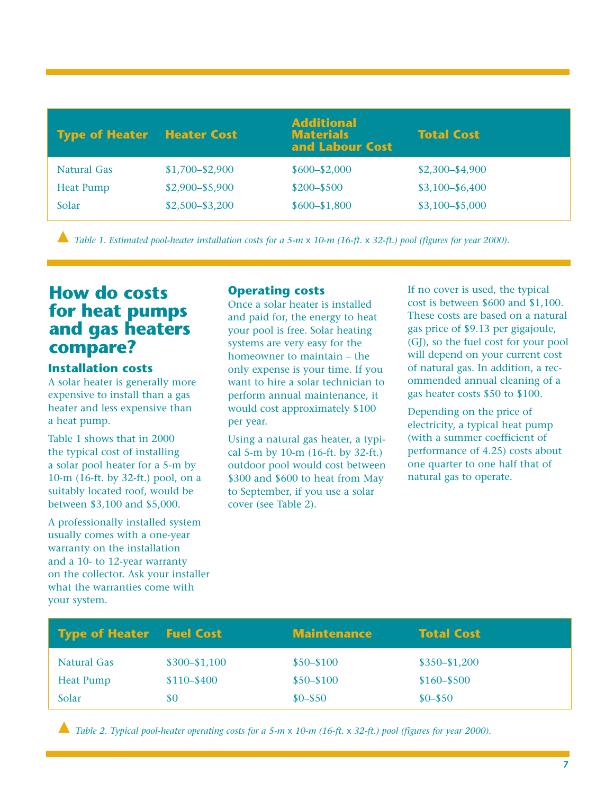<span id="page-8-0"></span>

| <b>Type of Heater Heater Cost</b> |                   | <b>Additional</b><br><b>Materials</b><br>and Labour Cost | <b>Total Cost</b> |
|-----------------------------------|-------------------|----------------------------------------------------------|-------------------|
| Natural Gas                       | $$1,700 - $2,900$ | $$600 - $2,000$                                          | $$2,300 - $4,900$ |
| <b>Heat Pump</b>                  | $$2,900 - $5,900$ | $$200 - $500$                                            | $$3,100 - $6,400$ |
| Solar                             | $$2,500 - $3,200$ | $$600 - $1,800$                                          | $$3,100 - $5,000$ |

*Table 1. Estimated pool-heater installation costs for a 5-m* x *10-m (16-ft.* x *32-ft.) pool (figures for year 2000).* ▼

## **How do costs for heat pumps and gas heaters compare?**

#### **Installation costs**

A solar heater is generally more expensive to install than a gas heater and less expensive than a heat pump.

Table 1 shows that in 2000 the typical cost of installing a solar pool heater for a 5-m by 10-m (16-ft. by 32-ft.) pool, on a suitably located roof, would be between \$3,100 and \$5,000.

A professionally installed system usually comes with a one-year warranty on the installation and a 10- to 12-year warranty on the collector. Ask your installer what the warranties come with your system.

### **Operating costs**

Once a solar heater is installed and paid for, the energy to heat your pool is free. Solar heating systems are very easy for the homeowner to maintain – the only expense is your time. If you want to hire a solar technician to perform annual maintenance, it would cost approximately \$100 per year.

Using a natural gas heater, a typical 5-m by 10-m (16-ft. by 32-ft.) outdoor pool would cost between \$300 and \$600 to heat from May to September, if you use a solar cover (see Table 2).

If no cover is used, the typical cost is between \$600 and \$1,100. These costs are based on a natural gas price of \$9.13 per gigajoule, (GJ), so the fuel cost for your pool will depend on your current cost of natural gas. In addition, a recommended annual cleaning of a gas heater costs \$50 to \$100.

Depending on the price of electricity, a typical heat pump (with a summer coefficient of performance of 4.25) costs about one quarter to one half that of natural gas to operate.

| <b>Type of Heater Fuel Cost</b>   |                                         | <b>Maintenance</b>                         | <b>Total Cost</b>                              |
|-----------------------------------|-----------------------------------------|--------------------------------------------|------------------------------------------------|
| Natural Gas<br>Heat Pump<br>Solar | $$300 - $1,100$<br>$$110 - $400$<br>\$0 | $$50 - $100$<br>$$50 - $100$<br>$$0 - $50$ | $$350 - $1,200$<br>$$160 - $500$<br>$$0 - $50$ |
|                                   |                                         |                                            |                                                |

*Table 2. Typical pool-heater operating costs for a 5-m* x *10-m (16-ft.* x *32-ft.) pool (figures for year 2000).* ▼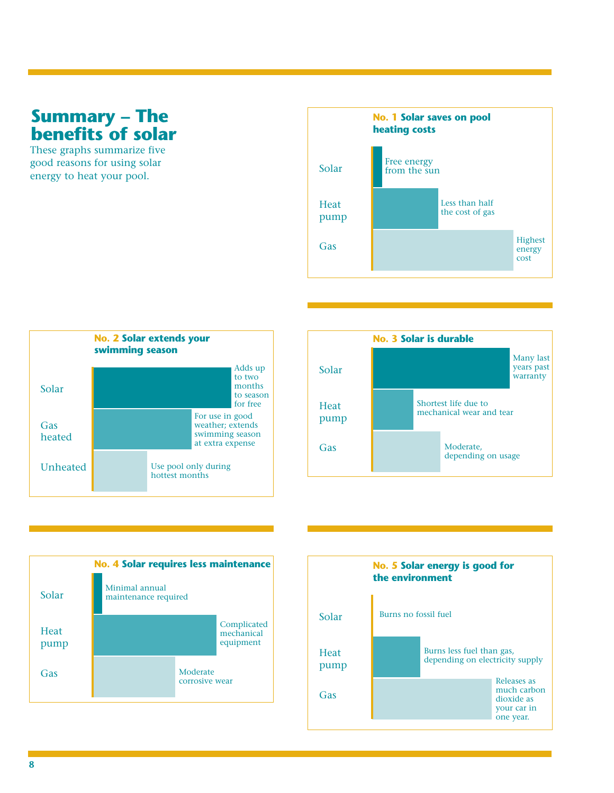# <span id="page-9-0"></span>**Summary – The benefits of solar**

These graphs summarize five good reasons for using solar energy to heat your pool.











**8**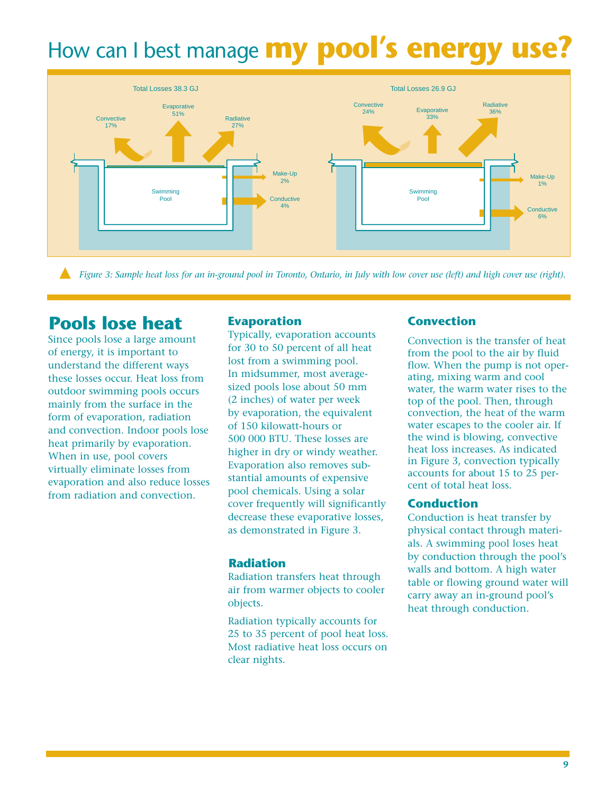# <span id="page-10-0"></span>How can I best manage **my pool's energy use?**



**Figure 3: Sample heat loss for an in-ground pool in Toronto, Ontario, in July with low cover use (left) and high cover use (right).** 

# **Pools lose heat**

Since pools lose a large amount of energy, it is important to understand the different ways these losses occur. Heat loss from outdoor swimming pools occurs mainly from the surface in the form of evaporation, radiation and convection. Indoor pools lose heat primarily by evaporation. When in use, pool covers virtually eliminate losses from evaporation and also reduce losses from radiation and convection.

## **Evaporation**

Typically, evaporation accounts for 30 to 50 percent of all heat lost from a swimming pool. In midsummer, most averagesized pools lose about 50 mm (2 inches) of water per week by evaporation, the equivalent of 150 kilowatt-hours or 500 000 BTU. These losses are higher in dry or windy weather. Evaporation also removes substantial amounts of expensive pool chemicals. Using a solar cover frequently will significantly decrease these evaporative losses, as demonstrated in Figure 3.

#### **Radiation**

Radiation transfers heat through air from warmer objects to cooler objects.

Radiation typically accounts for 25 to 35 percent of pool heat loss. Most radiative heat loss occurs on clear nights.

## **Convection**

Convection is the transfer of heat from the pool to the air by fluid flow. When the pump is not operating, mixing warm and cool water, the warm water rises to the top of the pool. Then, through convection, the heat of the warm water escapes to the cooler air. If the wind is blowing, convective heat loss increases. As indicated in Figure 3, convection typically accounts for about 15 to 25 percent of total heat loss.

#### **Conduction**

Conduction is heat transfer by physical contact through materials. A swimming pool loses heat by conduction through the pool's walls and bottom. A high water table or flowing ground water will carry away an in-ground pool's heat through conduction.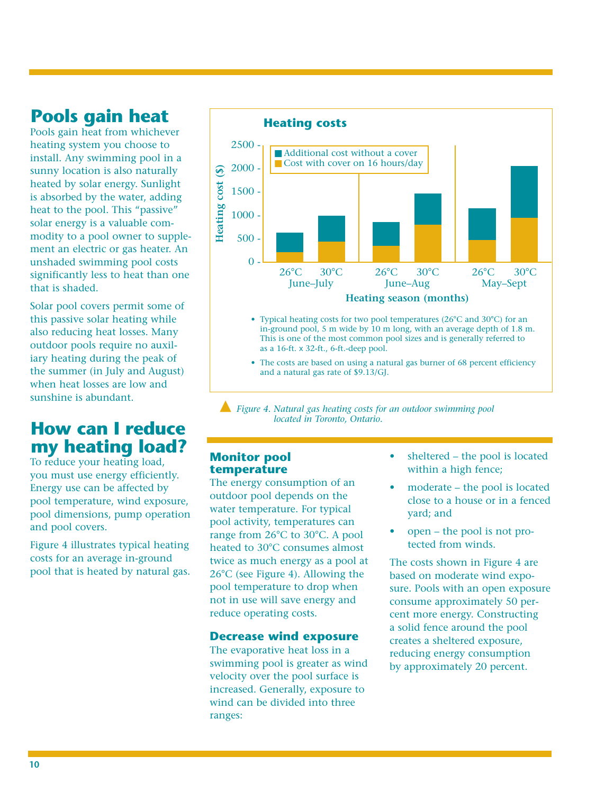# <span id="page-11-0"></span>**Pools gain heat**

Pools gain heat from whichever heating system you choose to install. Any swimming pool in a sunny location is also naturally heated by solar energy. Sunlight is absorbed by the water, adding heat to the pool. This "passive" solar energy is a valuable commodity to a pool owner to supplement an electric or gas heater. An unshaded swimming pool costs significantly less to heat than one that is shaded.

Solar pool covers permit some of this passive solar heating while also reducing heat losses. Many outdoor pools require no auxiliary heating during the peak of the summer (in July and August) when heat losses are low and sunshine is abundant.

# **How can I reduce my heating load?**

To reduce your heating load, you must use energy efficiently. Energy use can be affected by pool temperature, wind exposure, pool dimensions, pump operation and pool covers.

Figure 4 illustrates typical heating costs for an average in-ground pool that is heated by natural gas.



• The costs are based on using a natural gas burner of 68 percent efficiency and a natural gas rate of \$9.13/GJ.

▲ Figure 4. Natural gas heating costs for an outdoor swimming pool *located in Toronto, Ontario.*

## **Monitor pool temperature**

The energy consumption of an outdoor pool depends on the water temperature. For typical pool activity, temperatures can range from 26°C to 30°C. A pool heated to 30°C consumes almost twice as much energy as a pool at 26°C (see Figure 4). Allowing the pool temperature to drop when not in use will save energy and reduce operating costs.

#### **Decrease wind exposure**

The evaporative heat loss in a swimming pool is greater as wind velocity over the pool surface is increased. Generally, exposure to wind can be divided into three ranges:

- sheltered the pool is located within a high fence;
- moderate the pool is located close to a house or in a fenced yard; and
- open the pool is not protected from winds.

The costs shown in Figure 4 are based on moderate wind exposure. Pools with an open exposure consume approximately 50 percent more energy. Constructing a solid fence around the pool creates a sheltered exposure, reducing energy consumption by approximately 20 percent.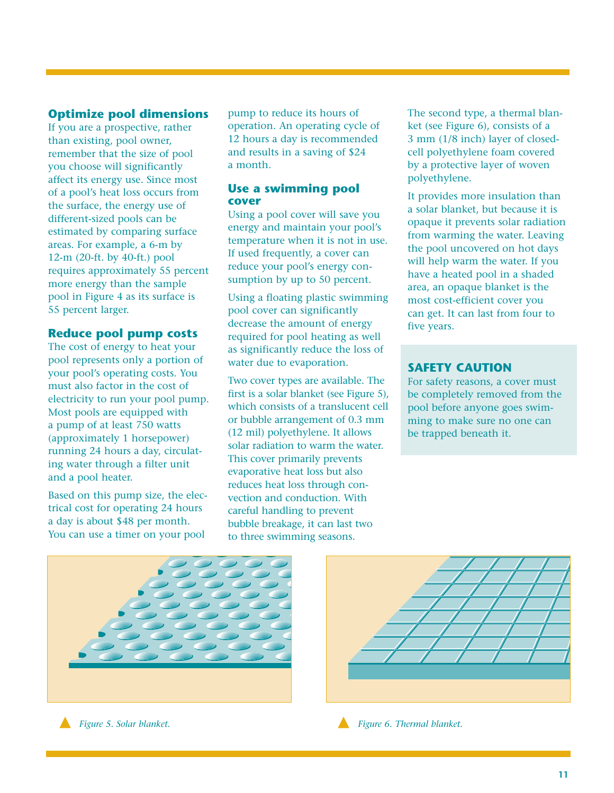### **Optimize pool dimensions**

If you are a prospective, rather than existing, pool owner, remember that the size of pool you choose will significantly affect its energy use. Since most of a pool's heat loss occurs from the surface, the energy use of different-sized pools can be estimated by comparing surface areas. For example, a 6-m by 12-m (20-ft. by 40-ft.) pool requires approximately 55 percent more energy than the sample pool in Figure 4 as its surface is 55 percent larger.

#### **Reduce pool pump costs**

The cost of energy to heat your pool represents only a portion of your pool's operating costs. You must also factor in the cost of electricity to run your pool pump. Most pools are equipped with a pump of at least 750 watts (approximately 1 horsepower) running 24 hours a day, circulating water through a filter unit and a pool heater.

Based on this pump size, the electrical cost for operating 24 hours a day is about \$48 per month. You can use a timer on your pool

pump to reduce its hours of operation. An operating cycle of 12 hours a day is recommended and results in a saving of \$24 a month.

#### **Use a swimming pool cover**

Using a pool cover will save you energy and maintain your pool's temperature when it is not in use. If used frequently, a cover can reduce your pool's energy consumption by up to 50 percent.

Using a floating plastic swimming pool cover can significantly decrease the amount of energy required for pool heating as well as significantly reduce the loss of water due to evaporation.

Two cover types are available. The first is a solar blanket (see Figure 5), which consists of a translucent cell or bubble arrangement of 0.3 mm (12 mil) polyethylene. It allows solar radiation to warm the water. This cover primarily prevents evaporative heat loss but also reduces heat loss through convection and conduction. With careful handling to prevent bubble breakage, it can last two to three swimming seasons.

The second type, a thermal blanket (see Figure 6), consists of a 3 mm (1/8 inch) layer of closedcell polyethylene foam covered by a protective layer of woven polyethylene.

It provides more insulation than a solar blanket, but because it is opaque it prevents solar radiation from warming the water. Leaving the pool uncovered on hot days will help warm the water. If you have a heated pool in a shaded area, an opaque blanket is the most cost-efficient cover you can get. It can last from four to five years.

#### **SAFETY CAUTION**

For safety reasons, a cover must be completely removed from the pool before anyone goes swimming to make sure no one can be trapped beneath it.







*Figure 5. Solar blanket.*  $\bullet$  *Figure 6. Thermal blanket.*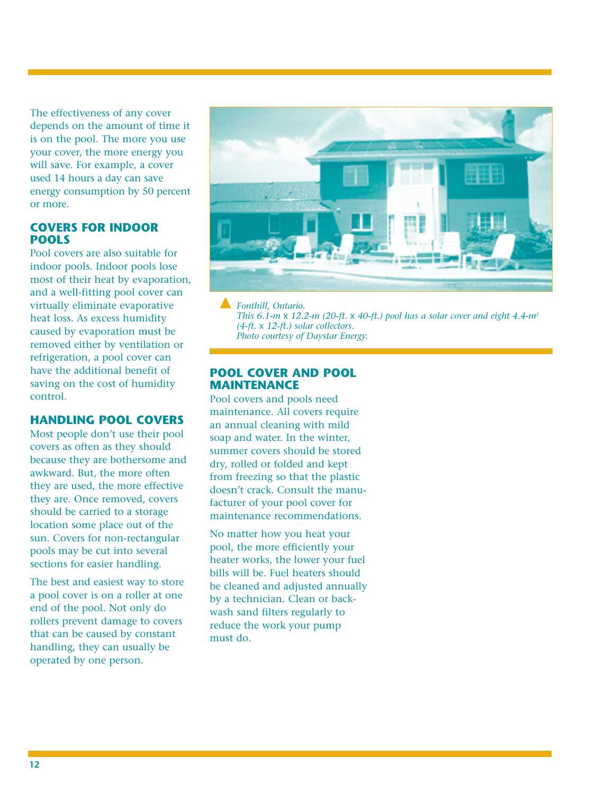The effectiveness of any cover depends on the amount of time it is on the pool. The more you use your cover, the more energy you will save. For example, a cover used 14 hours a day can save energy consumption by 50 percent or more.

#### **COVERS FOR INDOOR POOLS**

Pool covers are also suitable for indoor pools. Indoor pools lose most of their heat by evaporation, and a well-fitting pool cover can virtually eliminate evaporative heat loss. As excess humidity caused by evaporation must be removed either by ventilation or refrigeration, a pool cover can have the additional benefit of saving on the cost of humidity control.

#### **HANDLING POOL COVERS**

Most people don't use their pool covers as often as they should because they are bothersome and awkward. But, the more often they are used, the more effective they are. Once removed, covers should be carried to a storage location some place out of the sun. Covers for non-rectangular pools may be cut into several sections for easier handling.

The best and easiest way to store a pool cover is on a roller at one end of the pool. Not only do rollers prevent damage to covers that can be caused by constant handling, they can usually be operated by one person.



**A** Fonthill, Ontario. *This 6.1-m* x *12.2-m (20-ft.* x *40-ft.) pool has a solar cover and eight 4.4-m2 (4-ft.* x *12-ft.) solar collectors. Photo courtesy of Daystar Energy.*

#### **POOL COVER AND POOL MAINTENANCE**

Pool covers and pools need maintenance. All covers require an annual cleaning with mild soap and water. In the winter, summer covers should be stored dry, rolled or folded and kept from freezing so that the plastic doesn't crack. Consult the manufacturer of your pool cover for maintenance recommendations.

No matter how you heat your pool, the more efficiently your heater works, the lower your fuel bills will be. Fuel heaters should be cleaned and adjusted annually by a technician. Clean or backwash sand filters regularly to reduce the work your pump must do.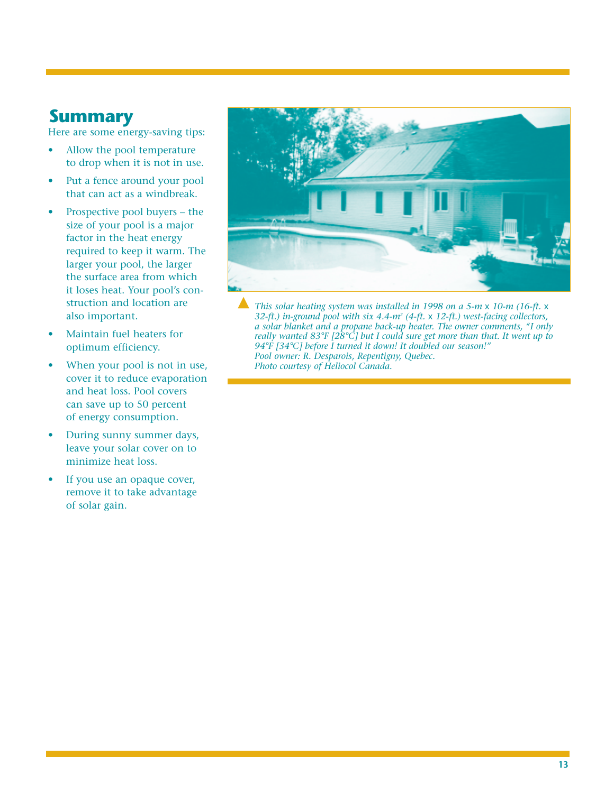# <span id="page-14-0"></span>**Summary**

Here are some energy-saving tips:

- Allow the pool temperature to drop when it is not in use.
- Put a fence around your pool that can act as a windbreak.
- Prospective pool buyers the size of your pool is a major factor in the heat energy required to keep it warm. The larger your pool, the larger the surface area from which it loses heat. Your pool's construction and location are also important.
- Maintain fuel heaters for optimum efficiency.
- When your pool is not in use, cover it to reduce evaporation and heat loss. Pool covers can save up to 50 percent of energy consumption.
- During sunny summer days, leave your solar cover on to minimize heat loss.
- If you use an opaque cover, remove it to take advantage of solar gain.



*This solar heating system was installed in 1998 on a 5-m* x *10-m (16-ft.* x *32-ft.) in-ground pool with six 4.4-m2 (4-ft.* x *12-ft.) west-facing collectors, a solar blanket and a propane back-up heater. The owner comments, "I only really wanted 83°F [28°C] but I could sure get more than that. It went up to 94°F [34°C] before I turned it down! It doubled our season!" Pool owner: R. Desparois, Repentigny, Quebec. Photo courtesy of Heliocol Canada.* ▼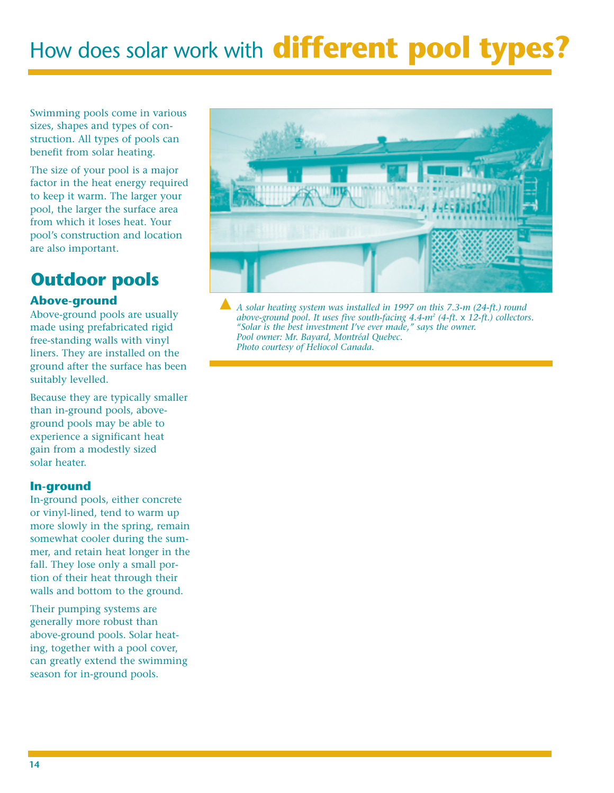# <span id="page-15-0"></span>How does solar work with **different pool types?**

Swimming pools come in various sizes, shapes and types of construction. All types of pools can benefit from solar heating.

The size of your pool is a major factor in the heat energy required to keep it warm. The larger your pool, the larger the surface area from which it loses heat. Your pool's construction and location are also important.

# **Outdoor pools**

## **Above-ground**

Above-ground pools are usually made using prefabricated rigid free-standing walls with vinyl liners. They are installed on the ground after the surface has been suitably levelled.

Because they are typically smaller than in-ground pools, aboveground pools may be able to experience a significant heat gain from a modestly sized solar heater.

## **In-ground**

In-ground pools, either concrete or vinyl-lined, tend to warm up more slowly in the spring, remain somewhat cooler during the summer, and retain heat longer in the fall. They lose only a small portion of their heat through their walls and bottom to the ground.

Their pumping systems are generally more robust than above-ground pools. Solar heating, together with a pool cover, can greatly extend the swimming season for in-ground pools.



▲ *A solar heating system was installed in 1997 on this 7.3-m (24-ft.) round above-ground pool. It uses five south-facing 4.4-m2 (4-ft.* x *12-ft.) collectors. "Solar is the best investment I've ever made," says the owner. Pool owner: Mr. Bayard, Montréal Quebec. Photo courtesy of Heliocol Canada.*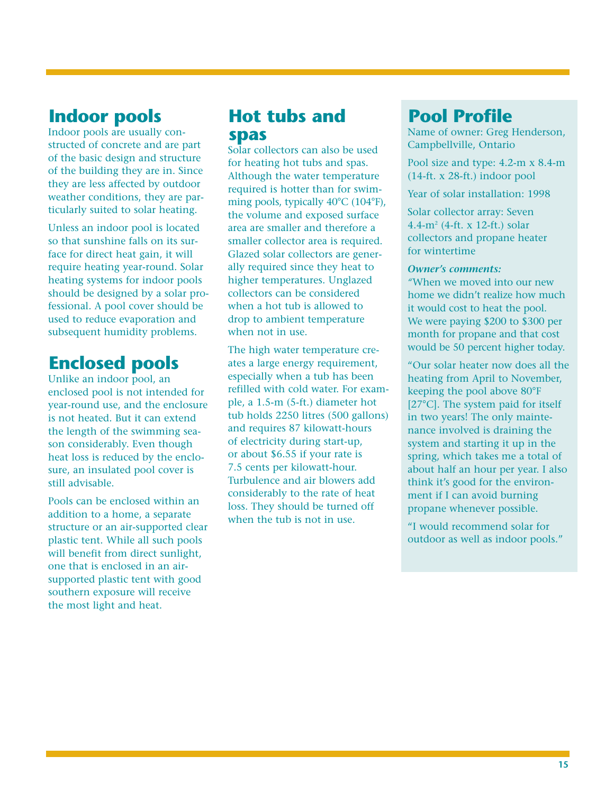# <span id="page-16-0"></span>**Indoor pools**

Indoor pools are usually constructed of concrete and are part of the basic design and structure of the building they are in. Since they are less affected by outdoor weather conditions, they are particularly suited to solar heating.

Unless an indoor pool is located so that sunshine falls on its surface for direct heat gain, it will require heating year-round. Solar heating systems for indoor pools should be designed by a solar professional. A pool cover should be used to reduce evaporation and subsequent humidity problems.

# **Enclosed pools**

Unlike an indoor pool, an enclosed pool is not intended for year-round use, and the enclosure is not heated. But it can extend the length of the swimming season considerably. Even though heat loss is reduced by the enclosure, an insulated pool cover is still advisable.

Pools can be enclosed within an addition to a home, a separate structure or an air-supported clear plastic tent. While all such pools will benefit from direct sunlight, one that is enclosed in an airsupported plastic tent with good southern exposure will receive the most light and heat.

# **Hot tubs and spas**

Solar collectors can also be used for heating hot tubs and spas. Although the water temperature required is hotter than for swimming pools, typically 40°C (104°F), the volume and exposed surface area are smaller and therefore a smaller collector area is required. Glazed solar collectors are generally required since they heat to higher temperatures. Unglazed collectors can be considered when a hot tub is allowed to drop to ambient temperature when not in use.

The high water temperature creates a large energy requirement, especially when a tub has been refilled with cold water. For example, a 1.5-m (5-ft.) diameter hot tub holds 2250 litres (500 gallons) and requires 87 kilowatt-hours of electricity during start-up, or about \$6.55 if your rate is 7.5 cents per kilowatt-hour. Turbulence and air blowers add considerably to the rate of heat loss. They should be turned off when the tub is not in use.

# **Pool Profile**

Name of owner: Greg Henderson, Campbellville, Ontario

Pool size and type: 4.2-m x 8.4-m (14-ft. x 28-ft.) indoor pool

Year of solar installation: 1998

Solar collector array: Seven 4.4-m2 (4-ft. x 12-ft.) solar collectors and propane heater for wintertime

#### *Owner's comments:*

*"*When we moved into our new home we didn't realize how much it would cost to heat the pool. We were paying \$200 to \$300 per month for propane and that cost would be 50 percent higher today.

"Our solar heater now does all the heating from April to November, keeping the pool above 80°F [27°C]. The system paid for itself in two years! The only maintenance involved is draining the system and starting it up in the spring, which takes me a total of about half an hour per year. I also think it's good for the environment if I can avoid burning propane whenever possible.

"I would recommend solar for outdoor as well as indoor pools."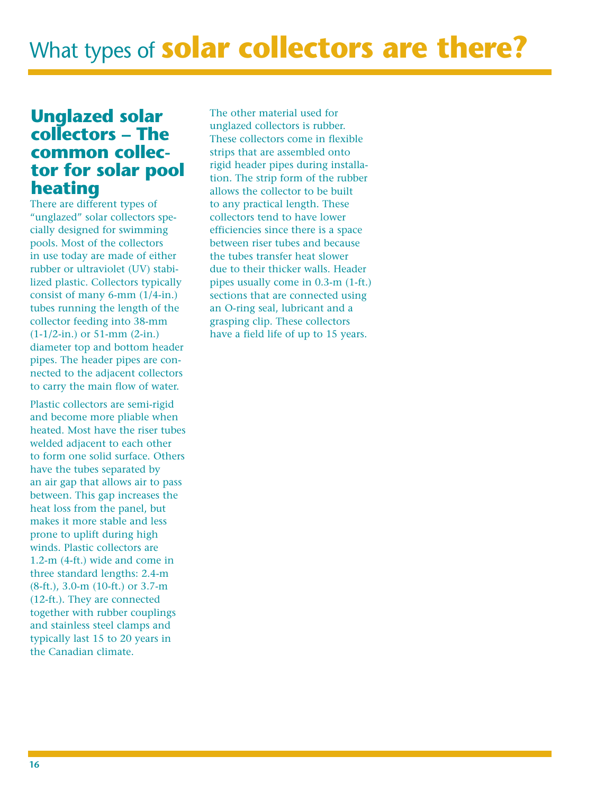# <span id="page-17-0"></span>What types of **solar collectors are there?**

## **Unglazed solar collectors – The common collector for solar pool heating**

There are different types of "unglazed" solar collectors specially designed for swimming pools. Most of the collectors in use today are made of either rubber or ultraviolet (UV) stabilized plastic. Collectors typically consist of many 6-mm (1/4-in.) tubes running the length of the collector feeding into 38-mm  $(1-1/2-in.)$  or 51-mm  $(2-in.)$ diameter top and bottom header pipes. The header pipes are connected to the adjacent collectors to carry the main flow of water.

Plastic collectors are semi-rigid and become more pliable when heated. Most have the riser tubes welded adjacent to each other to form one solid surface. Others have the tubes separated by an air gap that allows air to pass between. This gap increases the heat loss from the panel, but makes it more stable and less prone to uplift during high winds. Plastic collectors are 1.2-m (4-ft.) wide and come in three standard lengths: 2.4-m (8-ft.), 3.0-m (10-ft.) or 3.7-m (12-ft.). They are connected together with rubber couplings and stainless steel clamps and typically last 15 to 20 years in the Canadian climate.

The other material used for unglazed collectors is rubber. These collectors come in flexible strips that are assembled onto rigid header pipes during installation. The strip form of the rubber allows the collector to be built to any practical length. These collectors tend to have lower efficiencies since there is a space between riser tubes and because the tubes transfer heat slower due to their thicker walls. Header pipes usually come in 0.3-m (1-ft.) sections that are connected using an O-ring seal, lubricant and a grasping clip. These collectors have a field life of up to 15 years.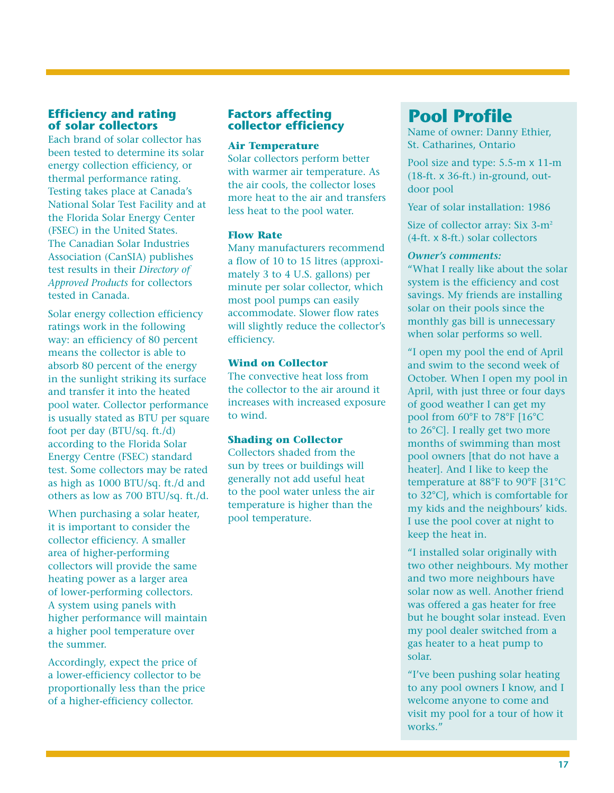#### **Efficiency and rating of solar collectors**

Each brand of solar collector has been tested to determine its solar energy collection efficiency, or thermal performance rating. Testing takes place at Canada's National Solar Test Facility and at the Florida Solar Energy Center (FSEC) in the United States. The Canadian Solar Industries Association (CanSIA) publishes test results in their *Directory of Approved Products* for collectors tested in Canada.

Solar energy collection efficiency ratings work in the following way: an efficiency of 80 percent means the collector is able to absorb 80 percent of the energy in the sunlight striking its surface and transfer it into the heated pool water. Collector performance is usually stated as BTU per square foot per day (BTU/sq. ft./d) according to the Florida Solar Energy Centre (FSEC) standard test. Some collectors may be rated as high as 1000 BTU/sq. ft./d and others as low as 700 BTU/sq. ft./d.

When purchasing a solar heater, it is important to consider the collector efficiency. A smaller area of higher-performing collectors will provide the same heating power as a larger area of lower-performing collectors. A system using panels with higher performance will maintain a higher pool temperature over the summer.

Accordingly, expect the price of a lower-efficiency collector to be proportionally less than the price of a higher-efficiency collector.

#### **Factors affecting collector efficiency**

#### **Air Temperature**

Solar collectors perform better with warmer air temperature. As the air cools, the collector loses more heat to the air and transfers less heat to the pool water.

#### **Flow Rate**

Many manufacturers recommend a flow of 10 to 15 litres (approximately 3 to 4 U.S. gallons) per minute per solar collector, which most pool pumps can easily accommodate. Slower flow rates will slightly reduce the collector's efficiency.

#### **Wind on Collector**

The convective heat loss from the collector to the air around it increases with increased exposure to wind.

#### **Shading on Collector**

Collectors shaded from the sun by trees or buildings will generally not add useful heat to the pool water unless the air temperature is higher than the pool temperature.

# **Pool Profile**

Name of owner: Danny Ethier, St. Catharines, Ontario

Pool size and type: 5.5-m x 11-m (18-ft. x 36-ft.) in-ground, outdoor pool

Year of solar installation: 1986

Size of collector array: Six 3-m<sup>2</sup> (4-ft. x 8-ft.) solar collectors

#### *Owner's comments:*

"What I really like about the solar system is the efficiency and cost savings. My friends are installing solar on their pools since the monthly gas bill is unnecessary when solar performs so well.

"I open my pool the end of April and swim to the second week of October. When I open my pool in April, with just three or four days of good weather I can get my pool from 60°F to 78°F [16°C to 26°C]. I really get two more months of swimming than most pool owners [that do not have a heater]. And I like to keep the temperature at 88°F to 90°F [31°C to 32°C], which is comfortable for my kids and the neighbours' kids. I use the pool cover at night to keep the heat in.

"I installed solar originally with two other neighbours. My mother and two more neighbours have solar now as well. Another friend was offered a gas heater for free but he bought solar instead. Even my pool dealer switched from a gas heater to a heat pump to solar.

"I've been pushing solar heating to any pool owners I know, and I welcome anyone to come and visit my pool for a tour of how it works."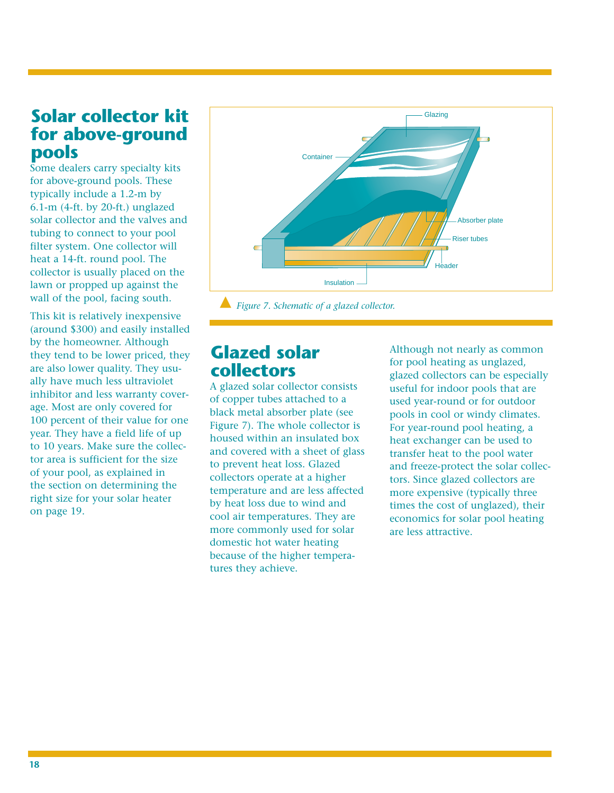# <span id="page-19-0"></span>**Solar collector kit for above-ground pools**

Some dealers carry specialty kits for above-ground pools. These typically include a 1.2-m by 6.1-m (4-ft. by 20-ft.) unglazed solar collector and the valves and tubing to connect to your pool filter system. One collector will heat a 14-ft. round pool. The collector is usually placed on the lawn or propped up against the wall of the pool, facing south.

This kit is relatively inexpensive (around \$300) and easily installed by the homeowner. Although they tend to be lower priced, they are also lower quality. They usually have much less ultraviolet inhibitor and less warranty coverage. Most are only covered for 100 percent of their value for one year. They have a field life of up to 10 years. Make sure the collector area is sufficient for the size of your pool, as explained in the section on determining the right size for your solar heater on page 19.



▲ Figure 7. Schematic of a glazed collector.

# **Glazed solar collectors**

A glazed solar collector consists of copper tubes attached to a black metal absorber plate (see Figure 7). The whole collector is housed within an insulated box and covered with a sheet of glass to prevent heat loss. Glazed collectors operate at a higher temperature and are less affected by heat loss due to wind and cool air temperatures. They are more commonly used for solar domestic hot water heating because of the higher temperatures they achieve.

Although not nearly as common for pool heating as unglazed, glazed collectors can be especially useful for indoor pools that are used year-round or for outdoor pools in cool or windy climates. For year-round pool heating, a heat exchanger can be used to transfer heat to the pool water and freeze-protect the solar collectors. Since glazed collectors are more expensive (typically three times the cost of unglazed), their economics for solar pool heating are less attractive.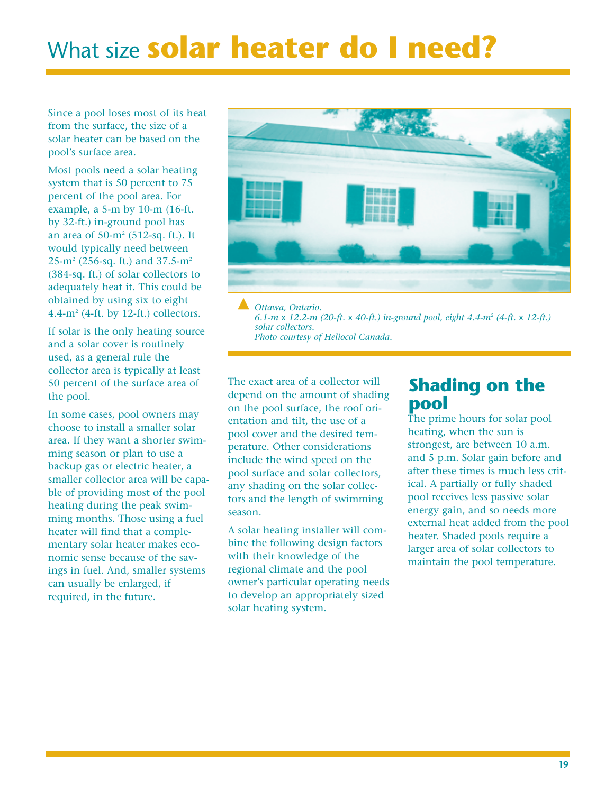# <span id="page-20-0"></span>What size **solar heater do I need?**

Since a pool loses most of its heat from the surface, the size of a solar heater can be based on the pool's surface area.

Most pools need a solar heating system that is 50 percent to 75 percent of the pool area. For example, a 5-m by 10-m (16-ft. by 32-ft.) in-ground pool has an area of  $50\text{-m}^2$  (512-sq. ft.). It would typically need between 25-m2 (256-sq. ft.) and 37.5-m2 (384-sq. ft.) of solar collectors to adequately heat it. This could be obtained by using six to eight 4.4-m2 (4-ft. by 12-ft.) collectors.

If solar is the only heating source and a solar cover is routinely used, as a general rule the collector area is typically at least 50 percent of the surface area of the pool.

In some cases, pool owners may choose to install a smaller solar area. If they want a shorter swimming season or plan to use a backup gas or electric heater, a smaller collector area will be capable of providing most of the pool heating during the peak swimming months. Those using a fuel heater will find that a complementary solar heater makes economic sense because of the savings in fuel. And, smaller systems can usually be enlarged, if required, in the future.



*Ottawa, Ontario. 6.1-m* x *12.2-m (20-ft.* x *40-ft.) in-ground pool, eight 4.4-m2 (4-ft.* x *12-ft.) solar collectors. Photo courtesy of Heliocol Canada.*  ▼

The exact area of a collector will depend on the amount of shading on the pool surface, the roof orientation and tilt, the use of a pool cover and the desired temperature. Other considerations include the wind speed on the pool surface and solar collectors, any shading on the solar collectors and the length of swimming season.

A solar heating installer will combine the following design factors with their knowledge of the regional climate and the pool owner's particular operating needs to develop an appropriately sized solar heating system.

## **Shading on the pool**

The prime hours for solar pool heating, when the sun is strongest, are between 10 a.m. and 5 p.m. Solar gain before and after these times is much less critical. A partially or fully shaded pool receives less passive solar energy gain, and so needs more external heat added from the pool heater. Shaded pools require a larger area of solar collectors to maintain the pool temperature.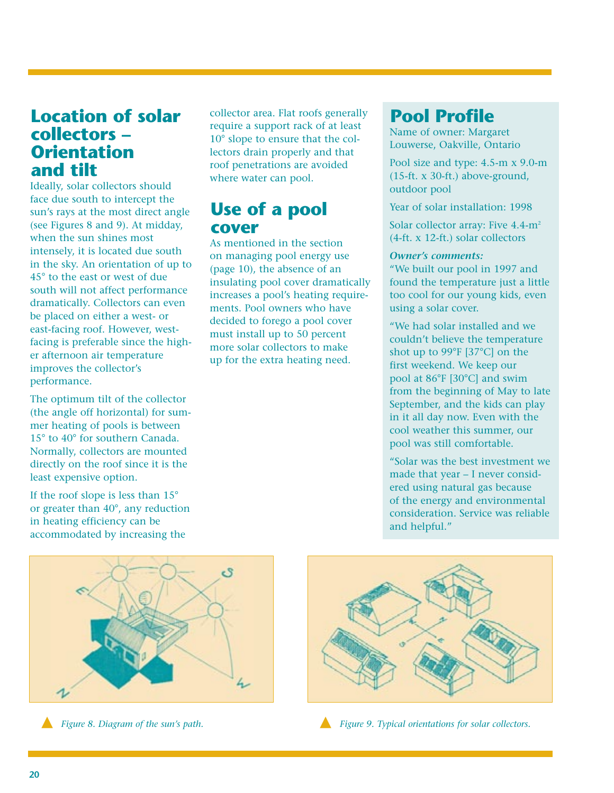## <span id="page-21-0"></span>**Location of solar collectors – Orientation and tilt**

Ideally, solar collectors should face due south to intercept the sun's rays at the most direct angle (see Figures 8 and 9). At midday, when the sun shines most intensely, it is located due south in the sky. An orientation of up to 45° to the east or west of due south will not affect performance dramatically. Collectors can even be placed on either a west- or east-facing roof. However, westfacing is preferable since the higher afternoon air temperature improves the collector's performance.

The optimum tilt of the collector (the angle off horizontal) for summer heating of pools is between 15° to 40° for southern Canada. Normally, collectors are mounted directly on the roof since it is the least expensive option.

If the roof slope is less than 15° or greater than 40°, any reduction in heating efficiency can be accommodated by increasing the

collector area. Flat roofs generally require a support rack of at least 10° slope to ensure that the collectors drain properly and that roof penetrations are avoided where water can pool.

## **Use of a pool cover**

As mentioned in the section on managing pool energy use (page 10), the absence of an insulating pool cover dramatically increases a pool's heating requirements. Pool owners who have decided to forego a pool cover must install up to 50 percent more solar collectors to make up for the extra heating need.

## **Pool Profile**

Name of owner: Margaret Louwerse, Oakville, Ontario

Pool size and type: 4.5-m x 9.0-m (15-ft. x 30-ft.) above-ground, outdoor pool

Year of solar installation: 1998

Solar collector array: Five 4.4-m<sup>2</sup> (4-ft. x 12-ft.) solar collectors

#### *Owner's comments:*

"We built our pool in 1997 and found the temperature just a little too cool for our young kids, even using a solar cover.

"We had solar installed and we couldn't believe the temperature shot up to 99°F [37°C] on the first weekend. We keep our pool at 86°F [30°C] and swim from the beginning of May to late September, and the kids can play in it all day now. Even with the cool weather this summer, our pool was still comfortable.

"Solar was the best investment we made that year – I never considered using natural gas because of the energy and environmental consideration. Service was reliable and helpful."







**Figure 8. Diagram of the sun's path.** The *Figure 9. Typical orientations for solar collectors.* **<b>•** *Figure 9. Typical orientations for solar collectors.*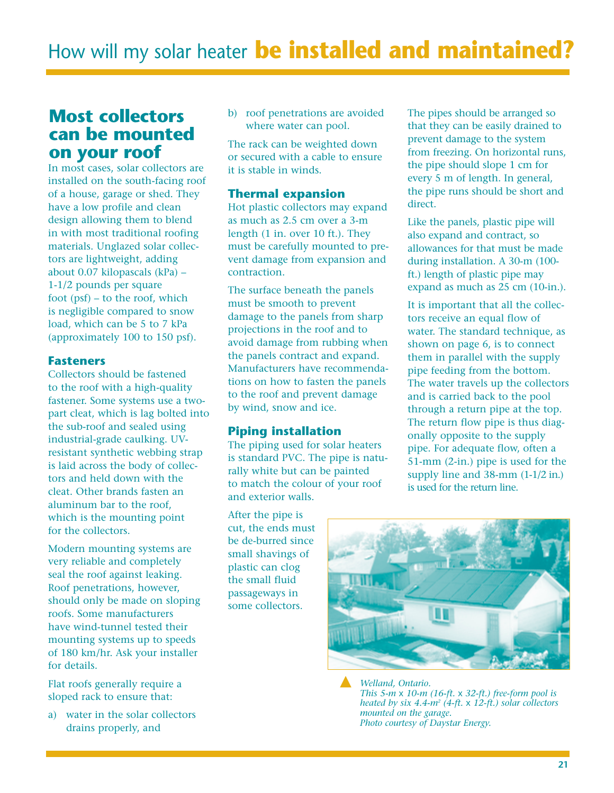## <span id="page-22-0"></span>**Most collectors can be mounted on your roof**

In most cases, solar collectors are installed on the south-facing roof of a house, garage or shed. They have a low profile and clean design allowing them to blend in with most traditional roofing materials. Unglazed solar collectors are lightweight, adding about 0.07 kilopascals (kPa) – 1-1/2 pounds per square foot (psf) – to the roof, which is negligible compared to snow load, which can be 5 to 7 kPa (approximately 100 to 150 psf).

### **Fasteners**

Collectors should be fastened to the roof with a high-quality fastener. Some systems use a twopart cleat, which is lag bolted into the sub-roof and sealed using industrial-grade caulking. UVresistant synthetic webbing strap is laid across the body of collectors and held down with the cleat. Other brands fasten an aluminum bar to the roof, which is the mounting point for the collectors.

Modern mounting systems are very reliable and completely seal the roof against leaking. Roof penetrations, however, should only be made on sloping roofs. Some manufacturers have wind-tunnel tested their mounting systems up to speeds of 180 km/hr. Ask your installer for details.

Flat roofs generally require a sloped rack to ensure that:

a) water in the solar collectors drains properly, and

b) roof penetrations are avoided where water can pool.

The rack can be weighted down or secured with a cable to ensure it is stable in winds.

### **Thermal expansion**

Hot plastic collectors may expand as much as 2.5 cm over a 3-m length (1 in. over 10 ft.). They must be carefully mounted to prevent damage from expansion and contraction.

The surface beneath the panels must be smooth to prevent damage to the panels from sharp projections in the roof and to avoid damage from rubbing when the panels contract and expand. Manufacturers have recommendations on how to fasten the panels to the roof and prevent damage by wind, snow and ice.

## **Piping installation**

The piping used for solar heaters is standard PVC. The pipe is naturally white but can be painted to match the colour of your roof and exterior walls.

After the pipe is cut, the ends must be de-burred since small shavings of plastic can clog the small fluid passageways in some collectors.

The pipes should be arranged so that they can be easily drained to prevent damage to the system from freezing. On horizontal runs, the pipe should slope 1 cm for every 5 m of length. In general, the pipe runs should be short and direct.

Like the panels, plastic pipe will also expand and contract, so allowances for that must be made during installation. A 30-m (100 ft.) length of plastic pipe may expand as much as 25 cm (10-in.).

It is important that all the collectors receive an equal flow of water. The standard technique, as shown on page 6, is to connect them in parallel with the supply pipe feeding from the bottom. The water travels up the collectors and is carried back to the pool through a return pipe at the top. The return flow pipe is thus diagonally opposite to the supply pipe. For adequate flow, often a 51-mm (2-in.) pipe is used for the supply line and 38-mm (1-1/2 in.) is used for the return line.



*Welland, Ontario. This 5-m* x *10-m (16-ft.* x *32-ft.) free-form pool is heated by six 4.4-m2 (4-ft.* x *12-ft.) solar collectors mounted on the garage. Photo courtesy of Daystar Energy.*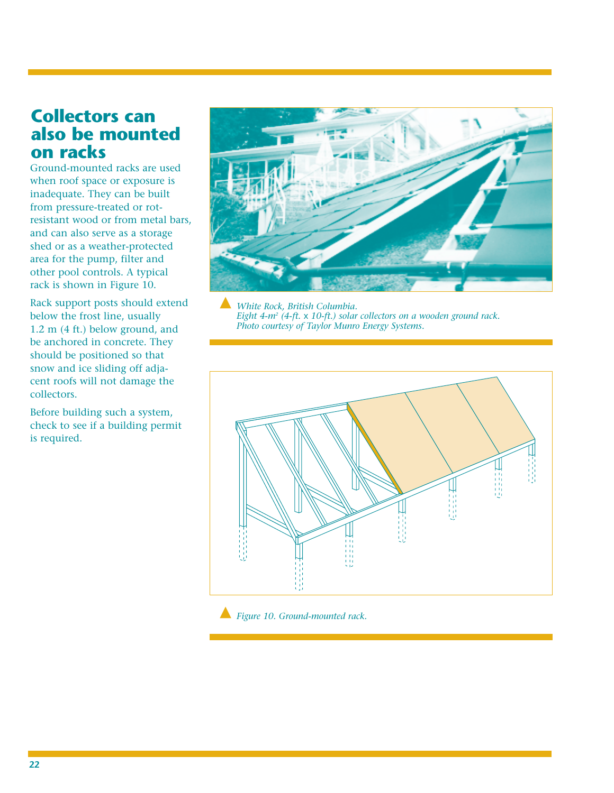## <span id="page-23-0"></span>**Collectors can also be mounted on racks**

Ground-mounted racks are used when roof space or exposure is inadequate. They can be built from pressure-treated or rotresistant wood or from metal bars, and can also serve as a storage shed or as a weather-protected area for the pump, filter and other pool controls. A typical rack is shown in Figure 10.

Rack support posts should extend below the frost line, usually 1.2 m (4 ft.) below ground, and be anchored in concrete. They should be positioned so that snow and ice sliding off adjacent roofs will not damage the collectors.

Before building such a system, check to see if a building permit is required.



*White Rock, British Columbia. Eight 4-m2 (4-ft.* x *10-ft.) solar collectors on a wooden ground rack. Photo courtesy of Taylor Munro Energy Systems.*   $\blacktriangle$ 



▲ Figure 10. Ground-mounted rack.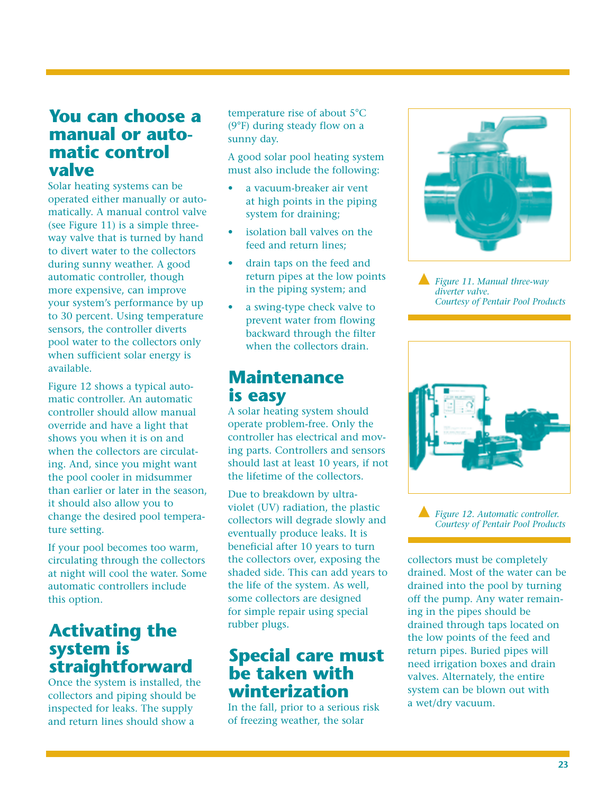## <span id="page-24-0"></span>**You can choose a manual or automatic control valve**

Solar heating systems can be operated either manually or automatically. A manual control valve (see Figure 11) is a simple threeway valve that is turned by hand to divert water to the collectors during sunny weather. A good automatic controller, though more expensive, can improve your system's performance by up to 30 percent. Using temperature sensors, the controller diverts pool water to the collectors only when sufficient solar energy is available.

Figure 12 shows a typical automatic controller. An automatic controller should allow manual override and have a light that shows you when it is on and when the collectors are circulating. And, since you might want the pool cooler in midsummer than earlier or later in the season, it should also allow you to change the desired pool temperature setting.

If your pool becomes too warm, circulating through the collectors at night will cool the water. Some automatic controllers include this option.

# **Activating the system is straightforward**

Once the system is installed, the collectors and piping should be inspected for leaks. The supply and return lines should show a

temperature rise of about 5°C (9°F) during steady flow on a sunny day.

A good solar pool heating system must also include the following:

- a vacuum-breaker air vent at high points in the piping system for draining;
- isolation ball valves on the feed and return lines;
- drain taps on the feed and return pipes at the low points in the piping system; and
- a swing-type check valve to prevent water from flowing backward through the filter when the collectors drain.

# **Maintenance is easy**

A solar heating system should operate problem-free. Only the controller has electrical and moving parts. Controllers and sensors should last at least 10 years, if not the lifetime of the collectors.

Due to breakdown by ultraviolet (UV) radiation, the plastic collectors will degrade slowly and eventually produce leaks. It is beneficial after 10 years to turn the collectors over, exposing the shaded side. This can add years to the life of the system. As well, some collectors are designed for simple repair using special rubber plugs.

## **Special care must be taken with winterization**

In the fall, prior to a serious risk of freezing weather, the solar



*Figure 11. Manual three-way diverter valve. Courtesy of Pentair Pool Products*  $\blacktriangle$ 



*Figure 12. Automatic controller. Courtesy of Pentair Pool Products* ▼

collectors must be completely drained. Most of the water can be drained into the pool by turning off the pump. Any water remaining in the pipes should be drained through taps located on the low points of the feed and return pipes. Buried pipes will need irrigation boxes and drain valves. Alternately, the entire system can be blown out with a wet/dry vacuum.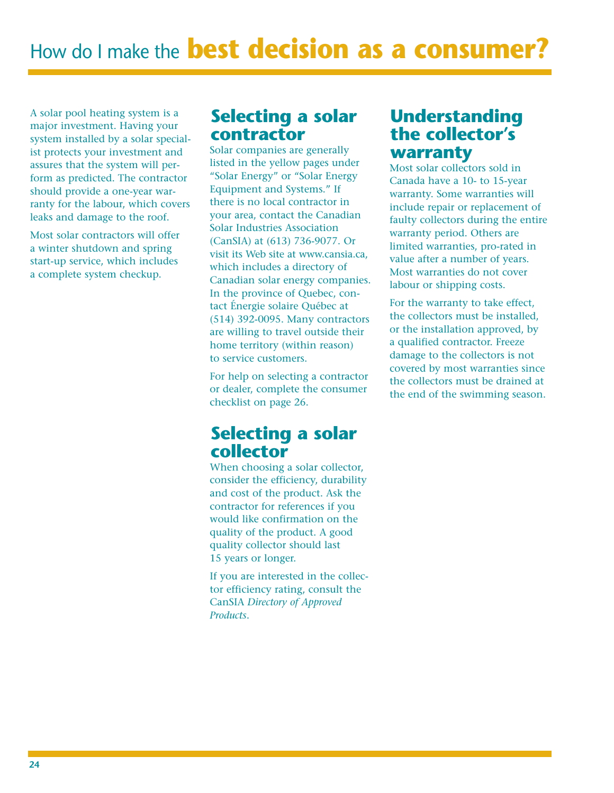<span id="page-25-0"></span>A solar pool heating system is a major investment. Having your system installed by a solar specialist protects your investment and assures that the system will perform as predicted. The contractor should provide a one-year warranty for the labour, which covers leaks and damage to the roof.

Most solar contractors will offer a winter shutdown and spring start-up service, which includes a complete system checkup.

# **Selecting a solar contractor**

Solar companies are generally listed in the yellow pages under "Solar Energy" or "Solar Energy Equipment and Systems." If there is no local contractor in your area, contact the Canadian Solar Industries Association (CanSIA) at (613) 736-9077. Or visit its Web site at www.cansia.ca, which includes a directory of Canadian solar energy companies. In the province of Quebec, contact Énergie solaire Québec at (514) 392-0095. Many contractors are willing to travel outside their home territory (within reason) to service customers.

For help on selecting a contractor or dealer, complete the consumer checklist on page 26.

# **Selecting a solar collector**

When choosing a solar collector, consider the efficiency, durability and cost of the product. Ask the contractor for references if you would like confirmation on the quality of the product. A good quality collector should last 15 years or longer.

If you are interested in the collector efficiency rating, consult the CanSIA *Directory of Approved Products*.

## **Understanding the collector's warranty**

Most solar collectors sold in Canada have a 10- to 15-year warranty. Some warranties will include repair or replacement of faulty collectors during the entire warranty period. Others are limited warranties, pro-rated in value after a number of years. Most warranties do not cover labour or shipping costs.

For the warranty to take effect, the collectors must be installed, or the installation approved, by a qualified contractor. Freeze damage to the collectors is not covered by most warranties since the collectors must be drained at the end of the swimming season.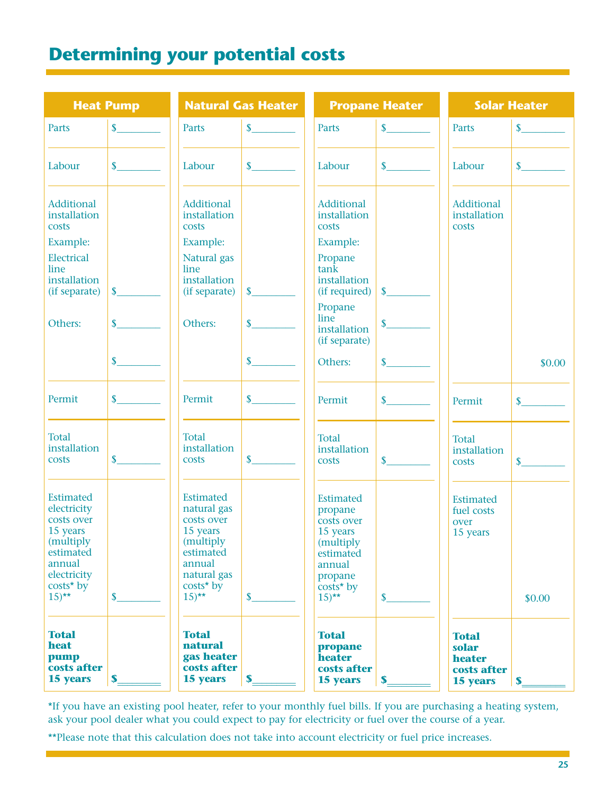# <span id="page-26-0"></span>**Determining your potential costs**

| <b>Heat Pump</b>                                                                                                                      |                                                     |                                                                                                                                       | <b>Natural Gas Heater</b> |                                                                                                                               | <b>Propane Heater</b>                |                                                            | <b>Solar Heater</b>  |
|---------------------------------------------------------------------------------------------------------------------------------------|-----------------------------------------------------|---------------------------------------------------------------------------------------------------------------------------------------|---------------------------|-------------------------------------------------------------------------------------------------------------------------------|--------------------------------------|------------------------------------------------------------|----------------------|
| Parts                                                                                                                                 | $\frac{\sqrt{2}}{2}$                                | Parts                                                                                                                                 | $\frac{\sqrt{2}}{2}$      | Parts                                                                                                                         | s                                    | Parts                                                      | $\frac{\sqrt{2}}{2}$ |
| Labour                                                                                                                                | $\frac{1}{2}$                                       | Labour                                                                                                                                | $\frac{1}{2}$             | Labour                                                                                                                        | S                                    | Labour                                                     | s                    |
| <b>Additional</b><br>installation<br>costs<br><b>Example:</b><br>Electrical<br>line<br>installation<br>(if separate)                  | $\sim$                                              | <b>Additional</b><br>installation<br>costs<br>Example:<br>Natural gas<br>line<br>installation<br>(if separate)                        | $\sim$                    | <b>Additional</b><br>installation<br>costs<br>Example:<br>Propane<br>tank<br>installation<br>(if required)                    | $\frac{1}{2}$                        | <b>Additional</b><br>installation<br>costs                 |                      |
| Others:                                                                                                                               | $\frac{\sqrt{2}}{2}$                                | Others:                                                                                                                               | $\sim$                    | Propane<br>line<br>installation<br>(if separate)                                                                              | $\frac{\sqrt{2}}{2}$                 |                                                            |                      |
|                                                                                                                                       | $\int$                                              |                                                                                                                                       | $\sim$                    | Others:                                                                                                                       | $\frac{\sqrt{2}}{2}$                 |                                                            | \$0.00               |
| Permit                                                                                                                                | $\frac{\int_{0}^{1} f(x) dx}{\int_{0}^{1} f(x) dx}$ | Permit                                                                                                                                | $\frac{\sqrt{2}}{2}$      | Permit                                                                                                                        | S                                    | Permit                                                     | $\sim$               |
| <b>Total</b><br>installation<br>costs                                                                                                 | s                                                   | <b>Total</b><br>installation<br>costs                                                                                                 | $\sim$                    | <b>Total</b><br>installation<br>costs                                                                                         | $S_{\perp}$ . The set of $S_{\perp}$ | <b>Total</b><br>installation<br>costs                      | $\frac{1}{2}$        |
| <b>Estimated</b><br>electricity<br>costs over<br>15 years<br>(multiply<br>estimated<br>annual<br>electricity<br>costs* by<br>$15)***$ | S                                                   | <b>Estimated</b><br>natural gas<br>costs over<br>15 years<br>(multiply<br>estimated<br>annual<br>natural gas<br>costs* by<br>$15)***$ | $S_{-}$                   | <b>Estimated</b><br>propane<br>costs over<br>15 years<br>(multiply<br>estimated<br>annual<br>propane<br>costs* by<br>$15)***$ | \$                                   | <b>Estimated</b><br>fuel costs<br>over<br>15 years         | \$0.00               |
| <b>Total</b><br>heat<br>pump<br>costs after<br>15 years                                                                               | $\boldsymbol{\mathcal{S}}$                          | <b>Total</b><br>natural<br>gas heater<br>costs after<br>15 years                                                                      |                           | <b>Total</b><br>propane<br>heater<br>costs after<br>15 years                                                                  | S                                    | <b>Total</b><br>solar<br>heater<br>costs after<br>15 years | S                    |

\*If you have an existing pool heater, refer to your monthly fuel bills. If you are purchasing a heating system, ask your pool dealer what you could expect to pay for electricity or fuel over the course of a year.

\*\*Please note that this calculation does not take into account electricity or fuel price increases.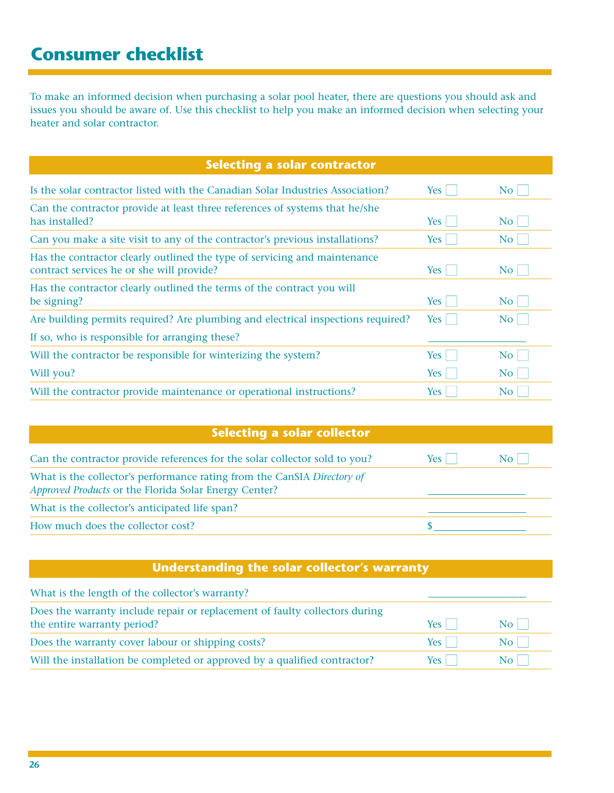# <span id="page-27-0"></span>**Consumer checklist**

To make an informed decision when purchasing a solar pool heater, there are questions you should ask and issues you should be aware of. Use this checklist to help you make an informed decision when selecting your heater and solar contractor.

| Selecting a solar contractor                                                                                           |            |                               |
|------------------------------------------------------------------------------------------------------------------------|------------|-------------------------------|
| Is the solar contractor listed with the Canadian Solar Industries Association?                                         | Yes        | $\overline{\text{No}}$ $\Box$ |
| Can the contractor provide at least three references of systems that he/she<br>has installed?                          | Yes        | $\overline{N_{0}}$            |
| Can you make a site visit to any of the contractor's previous installations?                                           | $Yes \Box$ | $\overline{N_{0}}$            |
| Has the contractor clearly outlined the type of servicing and maintenance<br>contract services he or she will provide? | Yes L      | $\overline{N_{0}}$            |
| Has the contractor clearly outlined the terms of the contract you will<br>be signing?                                  | Yes        | $\overline{N_0}$              |
| Are building permits required? Are plumbing and electrical inspections required?                                       | Yes        | $\overline{N_{0}}$            |
| If so, who is responsible for arranging these?                                                                         |            |                               |
| Will the contractor be responsible for winterizing the system?                                                         | Yes L      | $\overline{N_{0}}$            |
| Will you?                                                                                                              | $Yes \Box$ | $\overline{N_{0}}$            |
| Will the contractor provide maintenance or operational instructions?                                                   | Yes        | $\overline{N_{O}}$            |

# **Selecting a solar collector** Can the contractor provide references for the solar collector sold to you? Yes  $\Box$  No  $\Box$ What is the collector's performance rating from the CanSIA *Directory of Approved Products* or the Florida Solar Energy Center? What is the collector's anticipated life span? How much does the collector cost?

## **Understanding the solar collector's warranty**

What is the length of the collector's warranty? Does the warranty include repair or replacement of faulty collectors during the entire warranty period?  $Yes \Box$  No  $\Box$ Does the warranty cover labour or shipping costs?  $Yes \Box$  No  $\Box$ Will the installation be completed or approved by a qualified contractor?  $Yes \Box$  No  $\Box$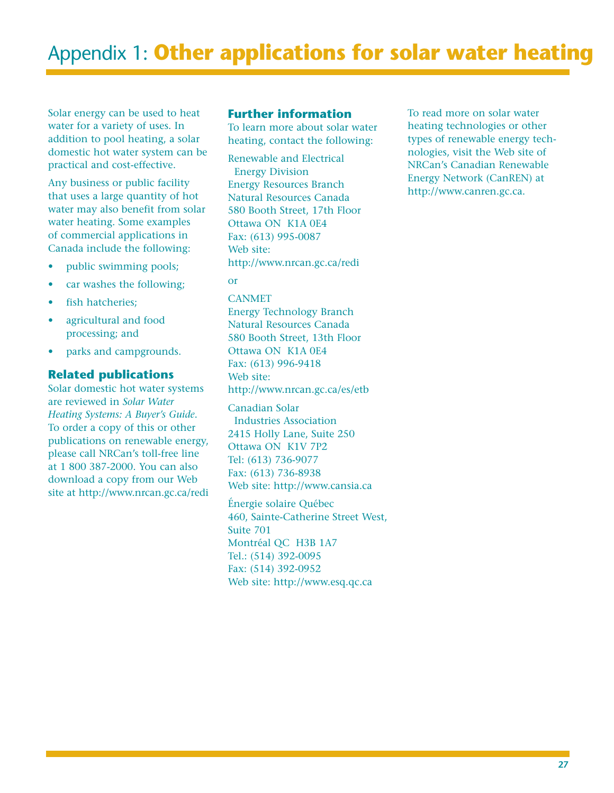<span id="page-28-1"></span><span id="page-28-0"></span>Solar energy can be used to heat water for a variety of uses. In addition to pool heating, a solar domestic hot water system can be practical and cost-effective.

Any business or public facility that uses a large quantity of hot water may also benefit from solar water heating. Some examples of commercial applications in Canada include the following:

- public swimming pools;
- car washes the following;
- fish hatcheries:
- agricultural and food processing; and
- parks and campgrounds.

#### **Related publications**

Solar domestic hot water systems are reviewed in *Solar Water Heating Systems: A Buyer's Guide*. To order a copy of this or other publications on renewable energy, please call NRCan's toll-free line at 1 800 387-2000. You can also download a copy from our Web site at http://www.nrcan.gc.ca/redi

#### **Further information**

To learn more about solar water heating, contact the following:

Renewable and Electrical Energy Division Energy Resources Branch Natural Resources Canada 580 Booth Street, 17th Floor Ottawa ON K1A 0E4 Fax: (613) 995-0087 Web site: http://www.nrcan.gc.ca/redi

or

#### **CANMET**

Energy Technology Branch Natural Resources Canada 580 Booth Street, 13th Floor Ottawa ON K1A 0E4 Fax: (613) 996-9418 Web site: http://www.nrcan.gc.ca/es/etb

Canadian Solar Industries Association 2415 Holly Lane, Suite 250 Ottawa ON K1V 7P2 Tel: (613) 736-9077 Fax: (613) 736-8938 Web site: http://www.cansia.ca

Énergie solaire Québec 460, Sainte-Catherine Street West, Suite 701 Montréal QC H3B 1A7 Tel.: (514) 392-0095 Fax: (514) 392-0952 Web site: http://www.esq.qc.ca

To read more on solar water heating technologies or other types of renewable energy technologies, visit the Web site of NRCan's Canadian Renewable Energy Network (CanREN) at http://www.canren.gc.ca.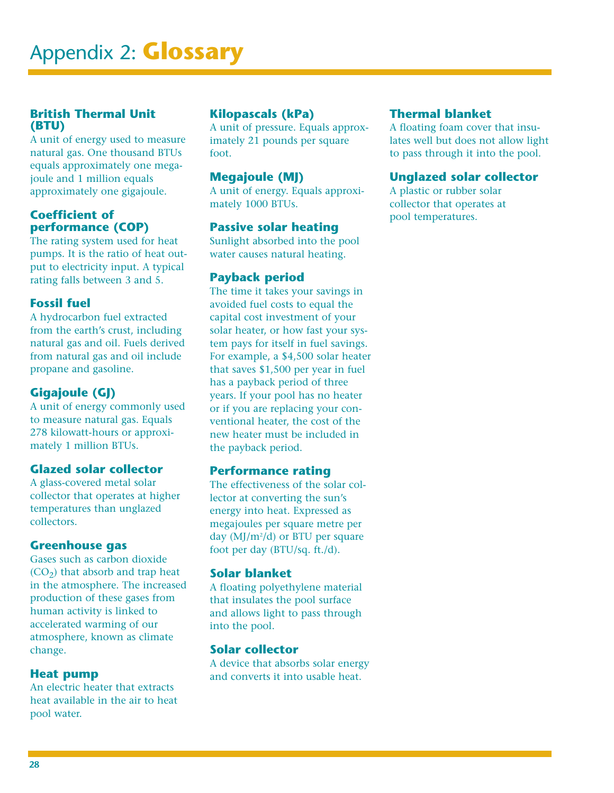## <span id="page-29-0"></span>**British Thermal Unit (BTU)**

A unit of energy used to measure natural gas. One thousand BTUs equals approximately one megajoule and 1 million equals approximately one gigajoule.

## **Coefficient of performance (COP)**

The rating system used for heat pumps. It is the ratio of heat output to electricity input. A typical rating falls between 3 and 5.

## **Fossil fuel**

A hydrocarbon fuel extracted from the earth's crust, including natural gas and oil. Fuels derived from natural gas and oil include propane and gasoline.

## **Gigajoule (GJ)**

A unit of energy commonly used to measure natural gas. Equals 278 kilowatt-hours or approximately 1 million BTUs.

## **Glazed solar collector**

A glass-covered metal solar collector that operates at higher temperatures than unglazed collectors.

## **Greenhouse gas**

Gases such as carbon dioxide  $(CO<sub>2</sub>)$  that absorb and trap heat in the atmosphere. The increased production of these gases from human activity is linked to accelerated warming of our atmosphere, known as climate change.

#### **Heat pump**

An electric heater that extracts heat available in the air to heat pool water.

## **Kilopascals (kPa)**

A unit of pressure. Equals approximately 21 pounds per square foot.

### **Megajoule (MJ)**

A unit of energy. Equals approximately 1000 BTUs.

#### **Passive solar heating**

Sunlight absorbed into the pool water causes natural heating.

### **Payback period**

The time it takes your savings in avoided fuel costs to equal the capital cost investment of your solar heater, or how fast your system pays for itself in fuel savings. For example, a \$4,500 solar heater that saves \$1,500 per year in fuel has a payback period of three years. If your pool has no heater or if you are replacing your conventional heater, the cost of the new heater must be included in the payback period.

## **Performance rating**

The effectiveness of the solar collector at converting the sun's energy into heat. Expressed as megajoules per square metre per day (MJ/m2 /d) or BTU per square foot per day (BTU/sq. ft./d).

#### **Solar blanket**

A floating polyethylene material that insulates the pool surface and allows light to pass through into the pool.

#### **Solar collector**

A device that absorbs solar energy and converts it into usable heat.

### **Thermal blanket**

A floating foam cover that insulates well but does not allow light to pass through it into the pool.

### **Unglazed solar collector**

A plastic or rubber solar collector that operates at pool temperatures.